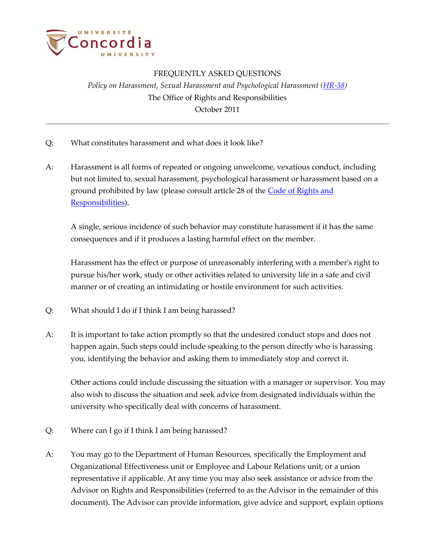

## FREQUENTLY ASKED QUESTIONS *Policy on Harassment, Sexual Harassment and Psychological Harassment (HR-38)* The Office of Rights and Responsibilities October 2011

- Q: What constitutes harassment and what does it look like?
- A: Harassment is all forms of repeated or ongoing unwelcome, vexatious conduct, including but not limited to, sexual harassment, psychological harassment or harassment based on a ground prohibited by law (please consult article 28 of the [Code of Rights and](http://www.concordia.ca/vpirsg/documents/policies/BD-3.pdf) [Responsibilities\)](http://www.concordia.ca/vpirsg/documents/policies/BD-3.pdf).

A single, serious incidence of such behavior may constitute harassment if it has the same consequences and if it produces a lasting harmful effect on the member.

Harassment has the effect or purpose of unreasonably interfering with a member's right to pursue his/her work, study or other activities related to university life in a safe and civil manner or of creating an intimidating or hostile environment for such activities.

- Q: What should I do if I think I am being harassed?
- A: It is important to take action promptly so that the undesired conduct stops and does not happen again. Such steps could include speaking to the person directly who is harassing you, identifying the behavior and asking them to immediately stop and correct it.

Other actions could include discussing the situation with a manager or supervisor. You may also wish to discuss the situation and seek advice from designated individuals within the university who specifically deal with concerns of harassment.

- Q: Where can I go if I think I am being harassed?
- A: You may go to the Department of Human Resources, specifically the Employment and Organizational Effectiveness unit or Employee and Labour Relations unit, or a union representative if applicable. At any time you may also seek assistance or advice from the Advisor on Rights and Responsibilities (referred to as the Advisor in the remainder of this document). The Advisor can provide information, give advice and support, explain options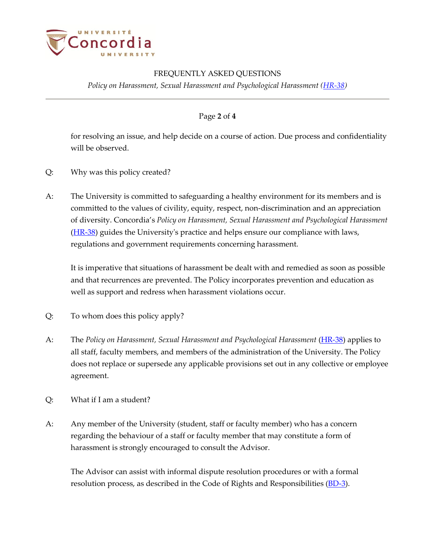

# FREQUENTLY ASKED QUESTIONS

*Policy on Harassment, Sexual Harassment and Psychological Harassment (HR-38)*

#### Page **2** of **4**

for resolving an issue, and help decide on a course of action. Due process and confidentiality will be observed.

- Q: Why was this policy created?
- A: The University is committed to safeguarding a healthy environment for its members and is committed to the values of civility, equity, respect, non-discrimination and an appreciation of diversity. Concordia's *Policy on Harassment, Sexual Harassment and Psychological Harassment* [\(HR-38\)](http://www.concordia.ca/vpirsg/documents/policies/HR-38.pdf) guides the University's practice and helps ensure our compliance with laws, regulations and government requirements concerning harassment.

It is imperative that situations of harassment be dealt with and remedied as soon as possible and that recurrences are prevented. The Policy incorporates prevention and education as well as support and redress when harassment violations occur.

- Q: To whom does this policy apply?
- A: The *Policy on Harassment, Sexual Harassment and Psychological Harassment* [\(HR-38\)](http://www.concordia.ca/vpirsg/documents/policies/HR-38.pdf) applies to all staff, faculty members, and members of the administration of the University. The Policy does not replace or supersede any applicable provisions set out in any collective or employee agreement.
- Q: What if I am a student?
- A: Any member of the University (student, staff or faculty member) who has a concern regarding the behaviour of a staff or faculty member that may constitute a form of harassment is strongly encouraged to consult the Advisor.

The Advisor can assist with informal dispute resolution procedures or with a formal resolution process, as described in the [Code of Rights and Responsibilities](http://www.concordia.ca/vpirsg/documents/policies/BD-3.pdf) [\(BD-3\)](http://www.concordia.ca/vpirsg/documents/policies/BD-3.pdf).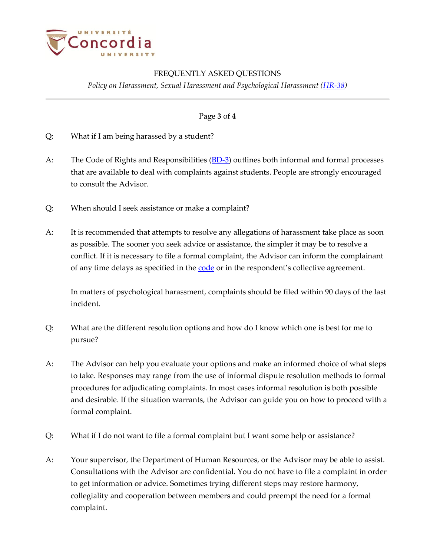

### FREQUENTLY ASKED QUESTIONS

*Policy on Harassment, Sexual Harassment and Psychological Harassment (HR-38)*

#### Page **3** of **4**

- Q: What if I am being harassed by a student?
- A: [The Code of Rights and Responsibilities](http://www.concordia.ca/vpirsg/documents/policies/BD-3.pdf) (**BD-3**) outlines both informal and formal processes that are available to deal with complaints against students. People are strongly encouraged to consult the Advisor.
- Q: When should I seek assistance or make a complaint?
- A: It is recommended that attempts to resolve any allegations of harassment take place as soon as possible. The sooner you seek advice or assistance, the simpler it may be to resolve a conflict. If it is necessary to file a formal complaint, the Advisor can inform the complainant of any time delays as specified in the <u>code</u> or in the respondent's collective agreement.

In matters of psychological harassment, complaints should be filed within 90 days of the last incident.

- Q: What are the different resolution options and how do I know which one is best for me to pursue?
- A: The Advisor can help you evaluate your options and make an informed choice of what steps to take. Responses may range from the use of informal dispute resolution methods to formal procedures for adjudicating complaints. In most cases informal resolution is both possible and desirable. If the situation warrants, the Advisor can guide you on how to proceed with a formal complaint.
- Q: What if I do not want to file a formal complaint but I want some help or assistance?
- A: Your supervisor, the Department of Human Resources, or the Advisor may be able to assist. Consultations with the Advisor are confidential. You do not have to file a complaint in order to get information or advice. Sometimes trying different steps may restore harmony, collegiality and cooperation between members and could preempt the need for a formal complaint.